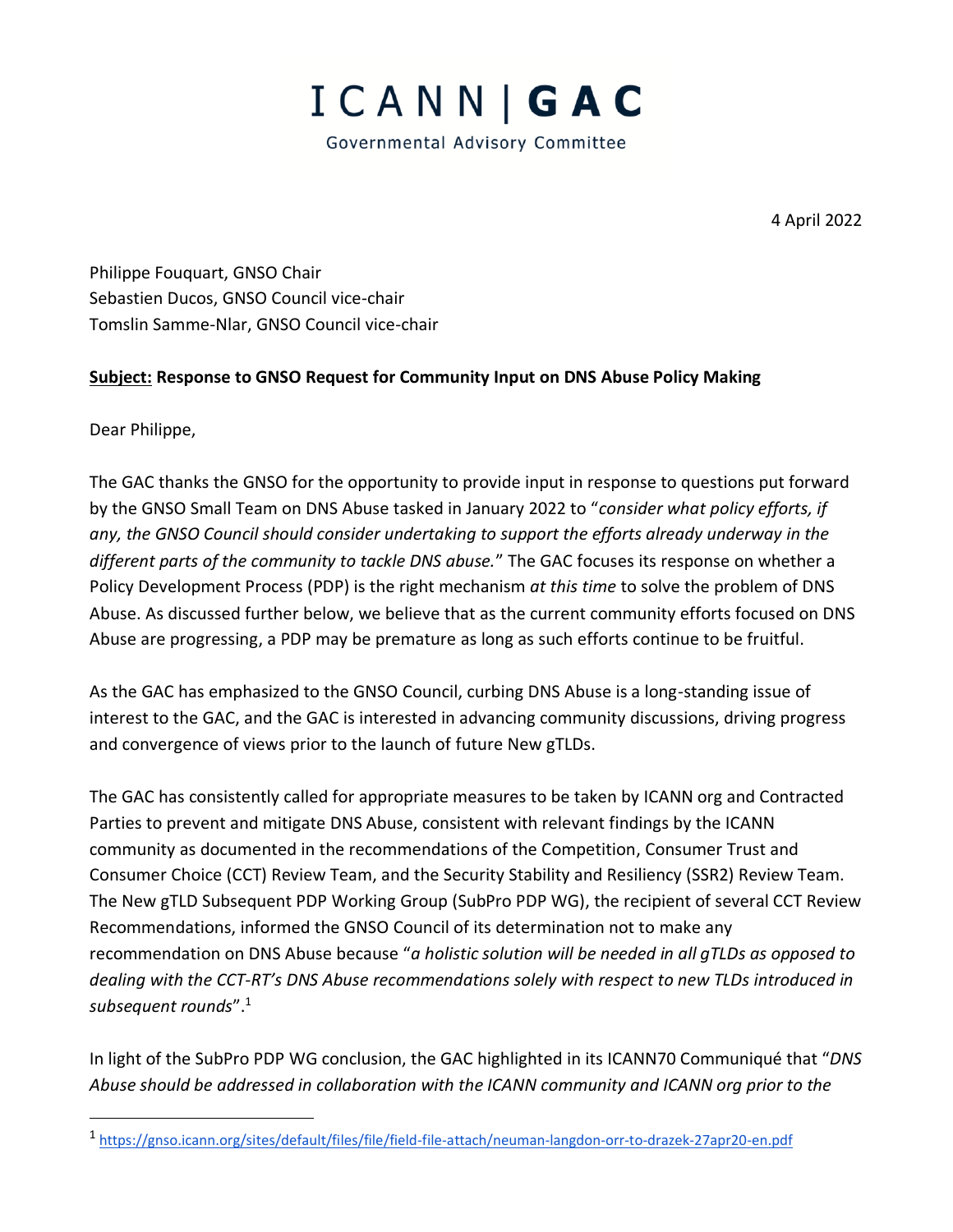

4 April 2022

Philippe Fouquart, GNSO Chair Sebastien Ducos, GNSO Council vice-chair Tomslin Samme-Nlar, GNSO Council vice-chair

## **Subject: Response to GNSO Request for Community Input on DNS Abuse Policy Making**

Dear Philippe,

The GAC thanks the GNSO for the opportunity to provide input in response to questions put forward by the GNSO Small Team on DNS Abuse tasked in January 2022 to "*consider what policy efforts, if any, the GNSO Council should consider undertaking to support the efforts already underway in the different parts of the community to tackle DNS abuse.*" The GAC focuses its response on whether a Policy Development Process (PDP) is the right mechanism *at this time* to solve the problem of DNS Abuse. As discussed further below, we believe that as the current community efforts focused on DNS Abuse are progressing, a PDP may be premature as long as such efforts continue to be fruitful.

As the GAC has emphasized to the GNSO Council, curbing DNS Abuse is a long-standing issue of interest to the GAC, and the GAC is interested in advancing community discussions, driving progress and convergence of views prior to the launch of future New gTLDs.

The GAC has consistently called for appropriate measures to be taken by ICANN org and Contracted Parties to prevent and mitigate DNS Abuse, consistent with relevant findings by the ICANN community as documented in the recommendations of the Competition, Consumer Trust and Consumer Choice (CCT) Review Team, and the Security Stability and Resiliency (SSR2) Review Team. The New gTLD Subsequent PDP Working Group (SubPro PDP WG), the recipient of several CCT Review Recommendations, informed the GNSO Council of its determination not to make any recommendation on DNS Abuse because "*a holistic solution will be needed in all gTLDs as opposed to dealing with the CCT-RT's DNS Abuse recommendations solely with respect to new TLDs introduced in subsequent rounds*".<sup>1</sup>

In light of the SubPro PDP WG conclusion, the GAC highlighted in its ICANN70 Communiqué that "*DNS Abuse should be addressed in collaboration with the ICANN community and ICANN org prior to the* 

<sup>1</sup> <https://gnso.icann.org/sites/default/files/file/field-file-attach/neuman-langdon-orr-to-drazek-27apr20-en.pdf>